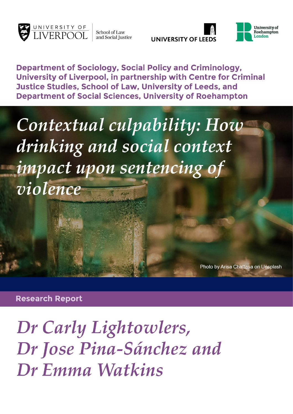

School of Law and Social Justice

**UNIVERSITY OF LEEDS** 



**Department of Sociology, Social Policy and Criminology,** University of Liverpool, in partnership with Centre for Criminal Justice Studies, School of Law, University of Leeds, and **Department of Social Sciences. University of Roehampton** 

Contextual culpability: How drinking and social context impact upon sentencing of violence

Photo by Arisa Chattasa on Unsplash

**Research Report** 

Dr Carly Lightowlers, Dr Jose Pina-Sánchez and Dr Emma Watkins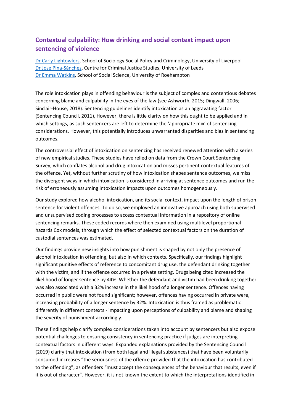## **Contextual culpability: How drinking and social context impact upon sentencing of violence**

[Dr Carly Lightowlers,](https://www.liverpool.ac.uk/sociology-social-policy-and-criminology/staff/carly-lightowlers/) School of Sociology Social Policy and Criminology, University of Liverpool [Dr Jose Pina-Sánchez,](https://essl.leeds.ac.uk/law/staff/222/dr-jose-pina-sanchez) Centre for Criminal Justice Studies, University of Leeds [Dr Emma Watkins,](https://pure.roehampton.ac.uk/portal/en/persons/emma-watkins) School of Social Science, University of Roehampton

The role intoxication plays in offending behaviour is the subject of complex and contentious debates concerning blame and culpability in the eyes of the law (see Ashworth, 2015; Dingwall, 2006; Sinclair-House, 2018). Sentencing guidelines identify intoxication as an aggravating factor (Sentencing Council, 2011), However, there is little clarity on how this ought to be applied and in which settings, as such sentencers are left to determine the 'appropriate mix' of sentencing considerations. However, this potentially introduces unwarranted disparities and bias in sentencing outcomes.

The controversial effect of intoxication on sentencing has received renewed attention with a series of new empirical studies. These studies have relied on data from the Crown Court Sentencing Survey, which conflates alcohol and drug intoxication and misses pertinent contextual features of the offence. Yet, without further scrutiny of how intoxication shapes sentence outcomes, we miss the divergent ways in which intoxication is considered in arriving at sentence outcomes and run the risk of erroneously assuming intoxication impacts upon outcomes homogeneously.

Our study explored how alcohol intoxication, and its social context, impact upon the length of prison sentence for violent offences. To do so, we employed an innovative approach using both supervised and unsupervised coding processes to access contextual information in a repository of online sentencing remarks. These coded records where then examined using multilevel proportional hazards Cox models, through which the effect of selected contextual factors on the duration of custodial sentences was estimated.

Our findings provide new insights into how punishment is shaped by not only the presence of alcohol intoxication in offending, but also in which contexts. Specifically, our findings highlight significant punitive effects of reference to concomitant drug use, the defendant drinking together with the victim, and if the offence occurred in a private setting. Drugs being cited increased the likelihood of longer sentence by 44%. Whether the defendant and victim had been drinking together was also associated with a 32% increase in the likelihood of a longer sentence. Offences having occurred in public were not found significant; however, offences having occurred in private were, increasing probability of a longer sentence by 32%. Intoxication is thus framed as problematic differently in different contexts - impacting upon perceptions of culpability and blame and shaping the severity of punishment accordingly.

These findings help clarify complex considerations taken into account by sentencers but also expose potential challenges to ensuring consistency in sentencing practice if judges are interpreting contextual factors in different ways. Expanded explanations provided by the Sentencing Council (2019) clarify that intoxication (from both legal and illegal substances) that have been voluntarily consumed increases "the seriousness of the offence provided that the intoxication has contributed to the offending", as offenders "must accept the consequences of the behaviour that results, even if it is out of character". However, it is not known the extent to which the interpretations identified in